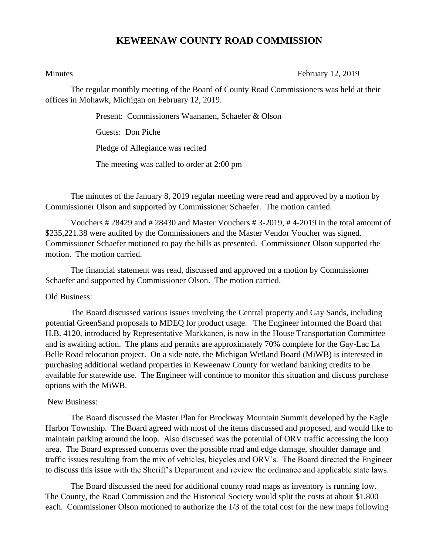## **KEWEENAW COUNTY ROAD COMMISSION**

Minutes **February 12, 2019** 

The regular monthly meeting of the Board of County Road Commissioners was held at their offices in Mohawk, Michigan on February 12, 2019.

Present: Commissioners Waananen, Schaefer & Olson

Guests: Don Piche

Pledge of Allegiance was recited

The meeting was called to order at 2:00 pm

The minutes of the January 8, 2019 regular meeting were read and approved by a motion by Commissioner Olson and supported by Commissioner Schaefer. The motion carried.

Vouchers # 28429 and # 28430 and Master Vouchers # 3-2019, # 4-2019 in the total amount of \$235,221.38 were audited by the Commissioners and the Master Vendor Voucher was signed. Commissioner Schaefer motioned to pay the bills as presented. Commissioner Olson supported the motion. The motion carried.

The financial statement was read, discussed and approved on a motion by Commissioner Schaefer and supported by Commissioner Olson. The motion carried.

## Old Business:

The Board discussed various issues involving the Central property and Gay Sands, including potential GreenSand proposals to MDEQ for product usage. The Engineer informed the Board that H.B. 4120, introduced by Representative Markkanen, is now in the House Transportation Committee and is awaiting action. The plans and permits are approximately 70% complete for the Gay-Lac La Belle Road relocation project. On a side note, the Michigan Wetland Board (MiWB) is interested in purchasing additional wetland properties in Keweenaw County for wetland banking credits to be available for statewide use. The Engineer will continue to monitor this situation and discuss purchase options with the MiWB.

## New Business:

The Board discussed the Master Plan for Brockway Mountain Summit developed by the Eagle Harbor Township. The Board agreed with most of the items discussed and proposed, and would like to maintain parking around the loop. Also discussed was the potential of ORV traffic accessing the loop area. The Board expressed concerns over the possible road and edge damage, shoulder damage and traffic issues resulting from the mix of vehicles, bicycles and ORV's. The Board directed the Engineer to discuss this issue with the Sheriff's Department and review the ordinance and applicable state laws.

The Board discussed the need for additional county road maps as inventory is running low. The County, the Road Commission and the Historical Society would split the costs at about \$1,800 each. Commissioner Olson motioned to authorize the 1/3 of the total cost for the new maps following